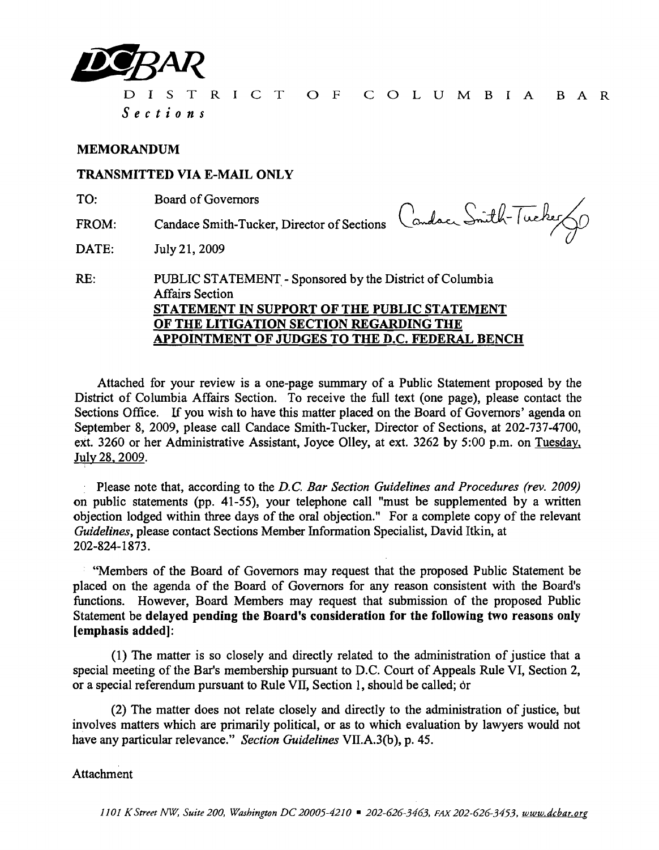

DISTRICT o F COLUMBIA BAR *Sections* 

## MEMORANDUM

TRANSMITTED VIA E-MAIL ONLY

TO: Board of Governors

DATE: July 21, 2009

FROM: Candace Smith-Tucker, Director of Sections Candace Smith-Tucker

RE: PUBLIC STATEMENT - Sponsored by the District of Columbia Affairs Section STATEMENT IN SUPPORT OF THE PUBLIC STATEMENT OF THE LITIGATION SECTION REGARDING THE APPOINTMENT OF JUDGES TO THE D.C. FEDERAL BENCH

Attached for your review is a one-page summary of a Public Statement proposed by the District of Columbia Affairs Section. To receive the full text (one page), please contact the Sections Office. If you wish to have this matter placed on the Board of Governors' agenda on September 8, 2009, please call Candace Smith-Tucker, Director of Sections, at 202-737-4700, ext. 3260 or her Administrative Assistant, Joyce Olley, at ext. 3262 by 5:00 p.m. on Tuesday, July 28.2009.

Please note that, according to the *D.C. Bar Section Guidelines and Procedures (rev. 2009)*  on public statements (pp. 41-55), your telephone call "must be supplemented by a written objection lodged within three days of the oral objection." For a complete copy of the relevant *Guidelines,* please contact Sections Member Information Specialist, David Itkin, at 202-824-1873.

"Members of the Board of Governors may request that the proposed Public Statement be placed on the agenda of the Board of Governors for any reason consistent with the Board's functions. However, Board Members may request that submission of the proposed Public Statement be delayed pending the Board's consideration for the following two reasons only [emphasis added]:

(1) The matter is so closely and directly related to the administration of justice that a special meeting of the Bar's membership pursuant to D.C. Court of Appeals Rule VI, Section 2, or a special referendum pursuant to Rule VII, Section I, should be called; or

(2) The matter does not relate closely and directly to the administration of justice, but involves matters which are primarily political, or as to which evaluation by lawyers would not have any particular relevance." *Section Guidelines* VILA.3(b), p. 45.

**Attachment**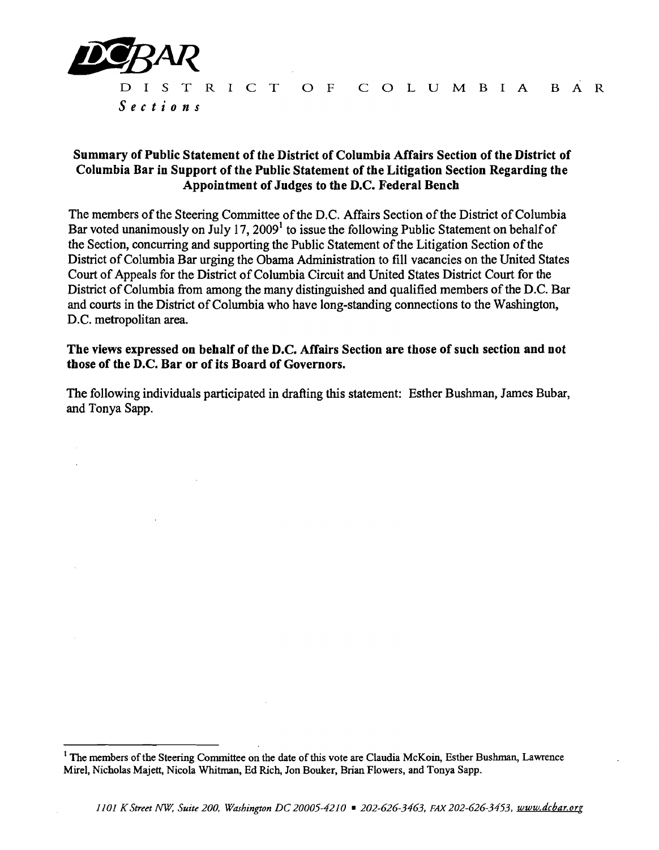

DISTRICT o F COLUMBIA BAR *Sections* 

# Summary of Public Statement of the District of Columbia Affairs Section of the District of Columbia Bar in Support of the Public Statement of the Litigation Section Regarding the Appointment of Judges to the D.C. Federal Bench

The members of the Steering Committee of the D.C. Affairs Section of the District of Columbia Bar voted unanimously on July 17, 2009<sup>1</sup> to issue the following Public Statement on behalf of the Section, concurring and supporting the Public Statement of the Litigation Section of the District of Columbia Bar urging the Obama Administration to fill vacancies on the United States Court of Appeals for the District of Columbia Circuit and United States District Court for the District of Columbia from among the many distinguished and qualified members of the D.C. Bar and courts in the District of Columbia who have long-standing connections to the Washington, D.C. metropolitan area.

## The views expressed on behalf of the D.C. Affairs Section are those of such section and not those of the D.C. Bar or of its Board of Governors.

The following individuals participated in drafting this statement: Esther Bushman, James Bubar, and Tonya Sapp.

<sup>&</sup>lt;sup>1</sup> The members of the Steering Committee on the date of this vote are Claudia McKoin, Esther Bushman, Lawrence Mirel, Nicholas Majett, Nicola Whitman, Ed Rich, Jon Bouker, Brian Flowers, and Tonya Sapp.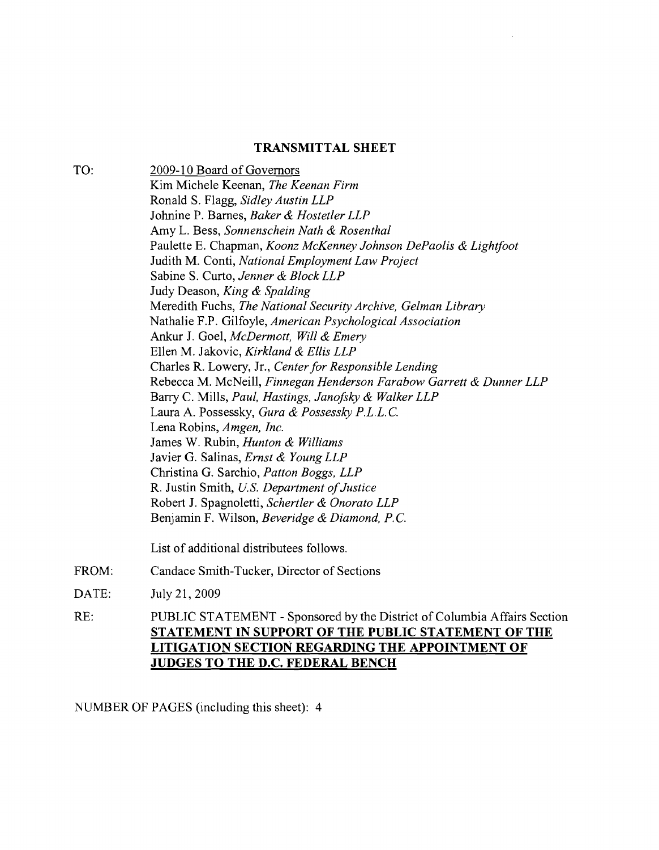#### TRANSMITTAL SHEET

TO: 2009-10 Board of Governors Kim Michele Keenan, *The Keenan Firm*  Ronald S. Flagg, *Sidley Austin LLP*  Johnine P. Barnes, *Baker* & *Hostetler LLP*  Amy L. Bess, *Sonnenschein Nath* & *Rosenthal*  Paulette E. Chapman, *Koonz McKenney Johnson DePaolis* & *Lightfoot*  Judith M. Conti, *National Employment Law Project*  Sabine S. Curto, *Jenner* & *Block LLP*  Judy Deason, *King* & *Spalding*  Meredith Fuchs, *The National Security Archive, Gelman Library*  Nathalie F.P. Gilfoyle, *American Psychological Association*  Ankur J. Goel, *McDermott, Will* &*Emery*  Ellen M. Jakovic, *Kirkland* & *Ellis LLP*  Charles R. Lowery, Jr., *Center for Responsible Lending*  Rebecca M. McNeill, *Finnegan Henderson Farabow Garrett* & *Dunner LLP*  Barry C. Mills, *Paul, Hastings, Janofsky* & *Walker LLP*  Laura A. Possessky, *Gura* & *Possessky P.L.L.* C. Lena Robins, *Amgen, Inc.*  James W. Rubin, *Hunton* & *Williams*  Javier G. Salinas, *Ernst* & *Young LLP*  Christina G. Sarchio, *Patton Boggs, LLP*  R. Justin Smith, *u.s. Department ofJustice*  Robert J. Spagnoletti, *Schertler* & *Onorato LLP*  Benjamin F. Wilson, *Beveridge & Diamond*, P.C. List of additional distributees follows. FROM: Candace Smith-Tucker, Director of Sections DATE: July 21, 2009 RE: PUBLIC STATEMENT - Sponsored by the District of Columbia Affairs Section **STATEMENT IN SUPPORT OF THE PUBLIC STATEMENT OF THE LITIGATION SECTION REGARDING THE APPOINTMENT OF** 

NUMBER OF PAGES (including this sheet): 4

**JUDGES TO THE D.C. FEDERAL BENCH**